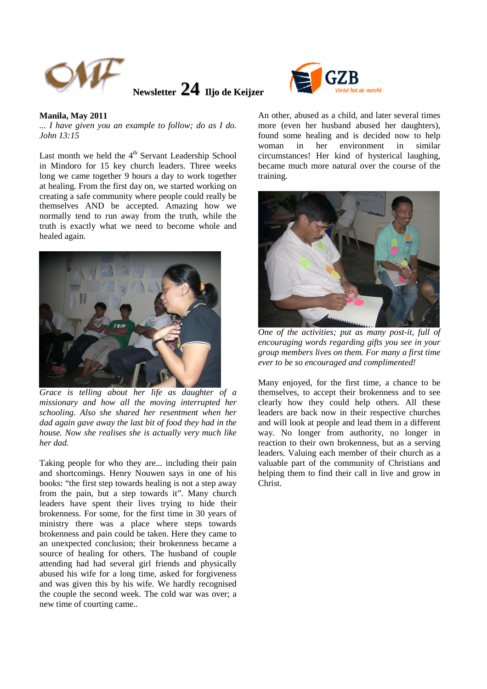

**Newsletter 24 Iljo de Keijzer**



## **Manila, May 2011**

*... I have given you an example to follow; do as I do. John 13:15* 

Last month we held the  $4<sup>th</sup>$  Servant Leadership School in Mindoro for 15 key church leaders. Three weeks long we came together 9 hours a day to work together at healing. From the first day on, we started working on creating a safe community where people could really be themselves AND be accepted. Amazing how we normally tend to run away from the truth, while the truth is exactly what we need to become whole and healed again.



*Grace is telling about her life as daughter of a missionary and how all the moving interrupted her schooling. Also she shared her resentment when her dad again gave away the last bit of food they had in the house. Now she realises she is actually very much like her dad.* 

Taking people for who they are... including their pain and shortcomings. Henry Nouwen says in one of his books: "the first step towards healing is not a step away from the pain, but a step towards it". Many church leaders have spent their lives trying to hide their brokenness. For some, for the first time in 30 years of ministry there was a place where steps towards brokenness and pain could be taken. Here they came to an unexpected conclusion; their brokenness became a source of healing for others. The husband of couple attending had had several girl friends and physically abused his wife for a long time, asked for forgiveness and was given this by his wife. We hardly recognised the couple the second week. The cold war was over; a new time of courting came..

An other, abused as a child, and later several times more (even her husband abused her daughters), found some healing and is decided now to help woman in her environment in similar circumstances! Her kind of hysterical laughing, became much more natural over the course of the training.



*One of the activities; put as many post-it, full of encouraging words regarding gifts you see in your group members lives on them. For many a first time ever to be so encouraged and complimented!* 

Many enjoyed, for the first time, a chance to be themselves, to accept their brokenness and to see clearly how they could help others. All these leaders are back now in their respective churches and will look at people and lead them in a different way. No longer from authority, no longer in reaction to their own brokenness, but as a serving leaders. Valuing each member of their church as a valuable part of the community of Christians and helping them to find their call in live and grow in Christ.